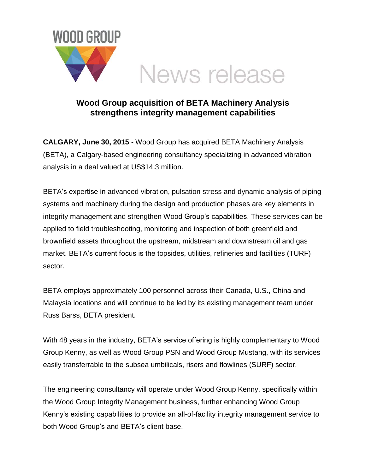

## **Wood Group acquisition of BETA Machinery Analysis strengthens integrity management capabilities**

**CALGARY, June 30, 2015** - Wood Group has acquired BETA Machinery Analysis (BETA), a Calgary-based engineering consultancy specializing in advanced vibration analysis in a deal valued at US\$14.3 million.

BETA's expertise in advanced vibration, pulsation stress and dynamic analysis of piping systems and machinery during the design and production phases are key elements in integrity management and strengthen Wood Group's capabilities. These services can be applied to field troubleshooting, monitoring and inspection of both greenfield and brownfield assets throughout the upstream, midstream and downstream oil and gas market. BETA's current focus is the topsides, utilities, refineries and facilities (TURF) sector.

BETA employs approximately 100 personnel across their Canada, U.S., China and Malaysia locations and will continue to be led by its existing management team under Russ Barss, BETA president.

With 48 years in the industry, BETA's service offering is highly complementary to Wood Group Kenny, as well as Wood Group PSN and Wood Group Mustang, with its services easily transferrable to the subsea umbilicals, risers and flowlines (SURF) sector.

The engineering consultancy will operate under Wood Group Kenny, specifically within the Wood Group Integrity Management business, further enhancing Wood Group Kenny's existing capabilities to provide an all-of-facility integrity management service to both Wood Group's and BETA's client base.